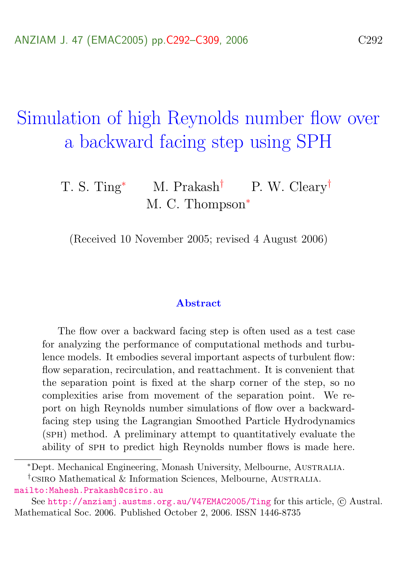# <span id="page-0-0"></span>Simulation of high Reynolds number flow over a backward facing step using SPH

### T. S. Ting<sup>∗</sup> M. Prakash<sup>†</sup> P. W. Cleary<sup>†</sup> M. C. Thompson<sup>\*</sup>

(Received 10 November 2005; revised 4 August 2006)

#### Abstract

The flow over a backward facing step is often used as a test case for analyzing the performance of computational methods and turbulence models. It embodies several important aspects of turbulent flow: flow separation, recirculation, and reattachment. It is convenient that the separation point is fixed at the sharp corner of the step, so no complexities arise from movement of the separation point. We report on high Reynolds number simulations of flow over a backwardfacing step using the Lagrangian Smoothed Particle Hydrodynamics (sph) method. A preliminary attempt to quantitatively evaluate the ability of sph to predict high Reynolds number flows is made here.

<sup>∗</sup>Dept. Mechanical Engineering, Monash University, Melbourne, Australia.

<sup>†</sup>csiro Mathematical & Information Sciences, Melbourne, Australia. <mailto:Mahesh.Prakash@csiro.au>

See <http://anziamj.austms.org.au/V47EMAC2005/Ting> for this article, © Austral. Mathematical Soc. 2006. Published October 2, 2006. ISSN 1446-8735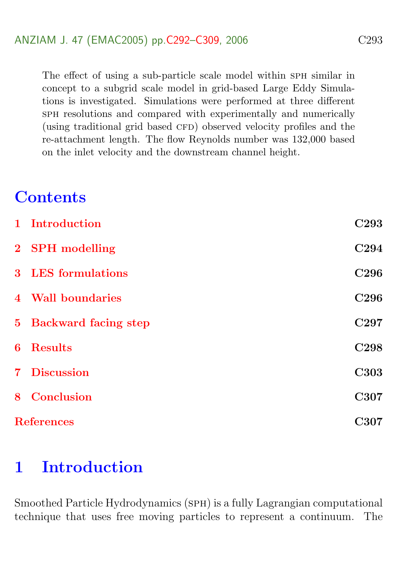The effect of using a sub-particle scale model within SPH similar in concept to a subgrid scale model in grid-based Large Eddy Simulations is investigated. Simulations were performed at three different sph resolutions and compared with experimentally and numerically (using traditional grid based CFD) observed velocity profiles and the re-attachment length. The flow Reynolds number was 132,000 based on the inlet velocity and the downstream channel height.

# **Contents**

| 1 Introduction         | C <sub>293</sub> |
|------------------------|------------------|
| 2 SPH modelling        | C <sub>294</sub> |
| 3 LES formulations     | C <sub>296</sub> |
| 4 Wall boundaries      | C <sub>296</sub> |
| 5 Backward facing step | C <sub>297</sub> |
| 6 Results              | C <sub>298</sub> |
| 7 Discussion           | <b>C303</b>      |
| 8 Conclusion           | C307             |
| <b>References</b>      |                  |

# <span id="page-1-0"></span>1 Introduction

Smoothed Particle Hydrodynamics (sph) is a fully Lagrangian computational technique that uses free moving particles to represent a continuum. The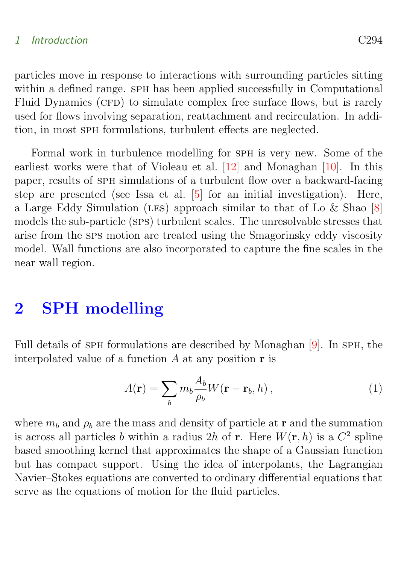#### <span id="page-2-1"></span>1 Introduction C294

particles move in response to interactions with surrounding particles sitting within a defined range. SPH has been applied successfully in Computational Fluid Dynamics (CFD) to simulate complex free surface flows, but is rarely used for flows involving separation, reattachment and recirculation. In addition, in most sph formulations, turbulent effects are neglected.

Formal work in turbulence modelling for sph is very new. Some of the earliest works were that of Violeau et al. [\[12\]](#page-17-0) and Monaghan [\[10\]](#page-16-0). In this paper, results of sph simulations of a turbulent flow over a backward-facing step are presented (see Issa et al. [\[5\]](#page-16-1) for an initial investigation). Here, a Large Eddy Simulation (les) approach similar to that of Lo & Shao [\[8\]](#page-16-2) models the sub-particle (sps) turbulent scales. The unresolvable stresses that arise from the sps motion are treated using the Smagorinsky eddy viscosity model. Wall functions are also incorporated to capture the fine scales in the near wall region.

### <span id="page-2-0"></span>2 SPH modelling

Full details of SPH formulations are described by Monaghan [\[9\]](#page-16-3). In SPH, the interpolated value of a function  $A$  at any position  $\bf{r}$  is

$$
A(\mathbf{r}) = \sum_{b} m_b \frac{A_b}{\rho_b} W(\mathbf{r} - \mathbf{r}_b, h) , \qquad (1)
$$

where  $m_b$  and  $\rho_b$  are the mass and density of particle at **r** and the summation is across all particles b within a radius 2h of **r**. Here  $W(\mathbf{r},h)$  is a  $C^2$  spline based smoothing kernel that approximates the shape of a Gaussian function but has compact support. Using the idea of interpolants, the Lagrangian Navier–Stokes equations are converted to ordinary differential equations that serve as the equations of motion for the fluid particles.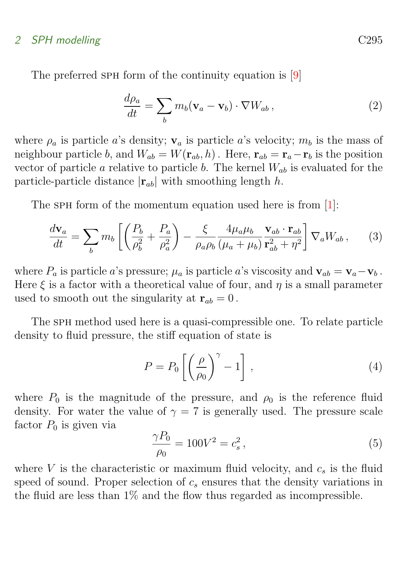### <span id="page-3-1"></span>2 SPH modelling C295

The preferred SPH form of the continuity equation is [\[9\]](#page-16-3)

<span id="page-3-0"></span>
$$
\frac{d\rho_a}{dt} = \sum_b m_b (\mathbf{v}_a - \mathbf{v}_b) \cdot \nabla W_{ab} , \qquad (2)
$$

where  $\rho_a$  is particle a's density;  $\mathbf{v}_a$  is particle a's velocity;  $m_b$  is the mass of neighbour particle b, and  $W_{ab} = W(\mathbf{r}_{ab}, h)$ . Here,  $\mathbf{r}_{ab} = \mathbf{r}_a - \mathbf{r}_b$  is the position vector of particle a relative to particle b. The kernel  $W_{ab}$  is evaluated for the particle-particle distance  $|\mathbf{r}_{ab}|$  with smoothing length h.

The SPH form of the momentum equation used here is from [\[1\]](#page-15-2):

$$
\frac{d\mathbf{v}_a}{dt} = \sum_b m_b \left[ \left( \frac{P_b}{\rho_b^2} + \frac{P_a}{\rho_a^2} \right) - \frac{\xi}{\rho_a \rho_b} \frac{4\mu_a \mu_b}{(\mu_a + \mu_b)} \frac{\mathbf{v}_{ab} \cdot \mathbf{r}_{ab}}{\mathbf{r}_{ab}^2 + \eta^2} \right] \nabla_a W_{ab} , \quad (3)
$$

where  $P_a$  is particle a's pressure;  $\mu_a$  is particle a's viscosity and  $\mathbf{v}_{ab} = \mathbf{v}_a - \mathbf{v}_b$ . Here  $\xi$  is a factor with a theoretical value of four, and  $\eta$  is a small parameter used to smooth out the singularity at  $\mathbf{r}_{ab} = 0$ .

The sph method used here is a quasi-compressible one. To relate particle density to fluid pressure, the stiff equation of state is

$$
P = P_0 \left[ \left( \frac{\rho}{\rho_0} \right)^{\gamma} - 1 \right], \qquad (4)
$$

where  $P_0$  is the magnitude of the pressure, and  $\rho_0$  is the reference fluid density. For water the value of  $\gamma = 7$  is generally used. The pressure scale factor  $P_0$  is given via

$$
\frac{\gamma P_0}{\rho_0} = 100V^2 = c_s^2, \qquad (5)
$$

where V is the characteristic or maximum fluid velocity, and  $c_s$  is the fluid speed of sound. Proper selection of  $c_s$  ensures that the density variations in the fluid are less than 1% and the flow thus regarded as incompressible.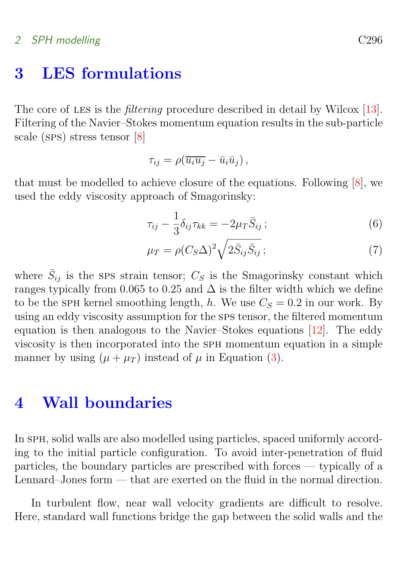### <span id="page-4-2"></span>2 SPH modelling C296

### <span id="page-4-0"></span>3 LES formulations

The core of LES is the *filtering* procedure described in detail by Wilcox [\[13\]](#page-17-1). Filtering of the Navier–Stokes momentum equation results in the sub-particle scale (sps) stress tensor [\[8\]](#page-16-2)

$$
\tau_{ij} = \rho(\overline{u_i u_j} - \overline{u}_i \overline{u}_j),
$$

that must be modelled to achieve closure of the equations. Following [\[8\]](#page-16-2), we used the eddy viscosity approach of Smagorinsky:

$$
\tau_{ij} - \frac{1}{3} \delta_{ij} \tau_{kk} = -2\mu_T \bar{S}_{ij};\tag{6}
$$

$$
\mu_T = \rho (C_S \Delta)^2 \sqrt{2 \bar{S}_{ij} \bar{S}_{ij}} ; \qquad (7)
$$

where  $\bar{S}_{ij}$  is the SPS strain tensor;  $C_S$  is the Smagorinsky constant which ranges typically from 0.065 to 0.25 and  $\Delta$  is the filter width which we define to be the SPH kernel smoothing length, h. We use  $C_S = 0.2$  in our work. By using an eddy viscosity assumption for the sps tensor, the filtered momentum equation is then analogous to the Navier–Stokes equations [\[12\]](#page-17-0). The eddy viscosity is then incorporated into the sph momentum equation in a simple manner by using  $(\mu + \mu)$  instead of  $\mu$  in Equation [\(3\)](#page-3-0).

### <span id="page-4-1"></span>4 Wall boundaries

In SPH, solid walls are also modelled using particles, spaced uniformly according to the initial particle configuration. To avoid inter-penetration of fluid particles, the boundary particles are prescribed with forces — typically of a Lennard–Jones form — that are exerted on the fluid in the normal direction.

In turbulent flow, near wall velocity gradients are difficult to resolve. Here, standard wall functions bridge the gap between the solid walls and the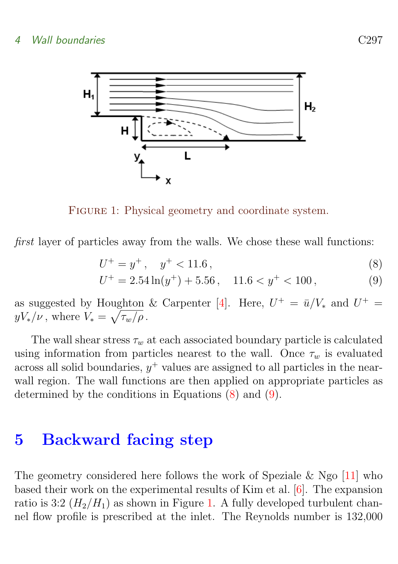<span id="page-5-3"></span>

FIGURE 1: Physical geometry and coordinate system.

first layer of particles away from the walls. We chose these wall functions:

<span id="page-5-2"></span>
$$
U^+ = y^+, \quad y^+ < 11.6\,,\tag{8}
$$

<span id="page-5-1"></span>
$$
U^{+} = 2.54 \ln(y^{+}) + 5.56 , \quad 11.6 < y^{+} < 100 , \tag{9}
$$

as suggested by Houghton & Carpenter [\[4\]](#page-16-4). Here,  $U^+ = \bar{u}/V_*$  and  $U^+ =$  $yV_*/\nu$ , where  $V_* = \sqrt{\tau_w/\rho}$ .

The wall shear stress  $\tau_w$  at each associated boundary particle is calculated using information from particles nearest to the wall. Once  $\tau_w$  is evaluated across all solid boundaries,  $y^+$  values are assigned to all particles in the nearwall region. The wall functions are then applied on appropriate particles as determined by the conditions in Equations [\(8\)](#page-5-1) and [\(9\)](#page-5-1).

### <span id="page-5-0"></span>5 Backward facing step

The geometry considered here follows the work of Speziale & Ngo  $[11]$  who based their work on the experimental results of Kim et al. [\[6\]](#page-16-6). The expansion ratio is 3:2  $(H_2/H_1)$  as shown in Figure [1.](#page-5-2) A fully developed turbulent channel flow profile is prescribed at the inlet. The Reynolds number is 132,000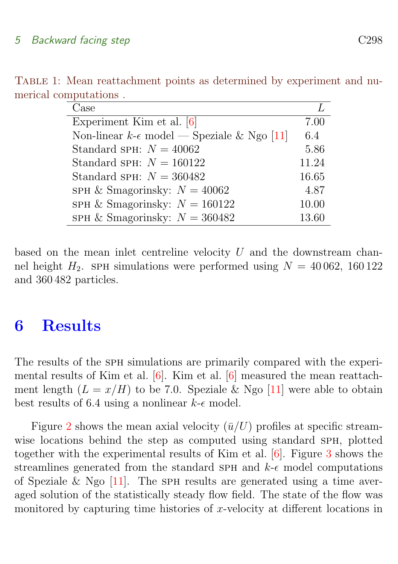<span id="page-6-1"></span>

| Case                                                    |       |
|---------------------------------------------------------|-------|
| Experiment Kim et al. [6]                               | 7.00  |
| Non-linear $k$ - $\epsilon$ model — Speziale & Ngo [11] | 6.4   |
| Standard SPH: $N = 40062$                               | 5.86  |
| Standard SPH: $N = 160122$                              | 11.24 |
| Standard SPH: $N = 360482$                              | 16.65 |
| SPH & Smagorinsky: $N = 40062$                          | 4.87  |
| SPH & Smagorinsky: $N = 160122$                         | 10.00 |
| SPH & Smagorinsky: $N = 360482$                         | 13.60 |

<span id="page-6-2"></span>TABLE 1: Mean reattachment points as determined by experiment and numerical computations .

based on the mean inlet centreline velocity  $U$  and the downstream channel height  $H_2$ . SPH simulations were performed using  $N = 40062$ , 160 122 and 360 482 particles.

# <span id="page-6-0"></span>6 Results

The results of the SPH simulations are primarily compared with the experimental results of Kim et al. [\[6\]](#page-16-6). Kim et al. [\[6\]](#page-16-6) measured the mean reattachment length  $(L = x/H)$  to be 7.0. Speziale & Ngo [\[11\]](#page-16-5) were able to obtain best results of 6.4 using a nonlinear  $k$ - $\epsilon$  model.

Figure [2](#page-7-0) shows the mean axial velocity  $(\bar{u}/U)$  profiles at specific streamwise locations behind the step as computed using standard SPH, plotted together with the experimental results of Kim et al. [\[6\]](#page-16-6). Figure [3](#page-8-0) shows the streamlines generated from the standard SPH and  $k$ - $\epsilon$  model computations of Speziale & Ngo  $[11]$ . The SPH results are generated using a time averaged solution of the statistically steady flow field. The state of the flow was monitored by capturing time histories of x-velocity at different locations in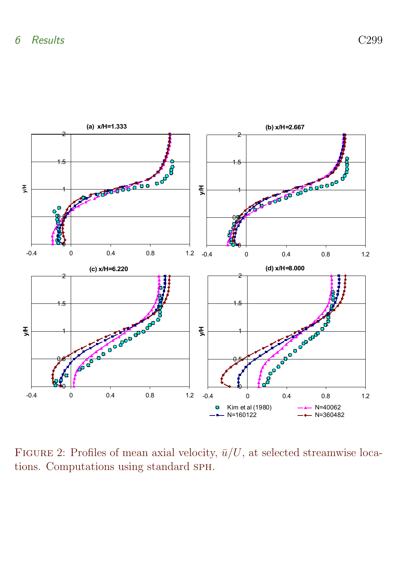

<span id="page-7-0"></span>FIGURE 2: Profiles of mean axial velocity,  $\bar{u}/U$ , at selected streamwise locations. Computations using standard sph.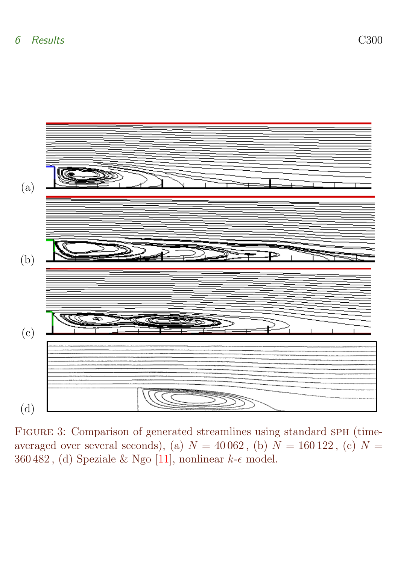<span id="page-8-1"></span>

<span id="page-8-0"></span>FIGURE 3: Comparison of generated streamlines using standard SPH (timeaveraged over several seconds), (a)  $N = 40062$ , (b)  $N = 160122$ , (c)  $N =$ 360 482, (d) Speziale & Ngo [\[11\]](#page-16-5), nonlinear  $k$ - $\epsilon$  model.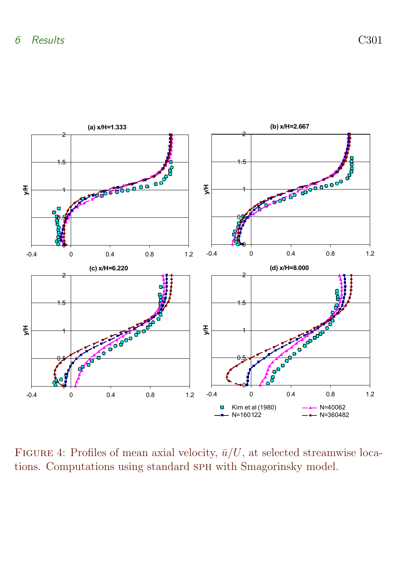

<span id="page-9-0"></span>FIGURE 4: Profiles of mean axial velocity,  $\bar{u}/U$ , at selected streamwise locations. Computations using standard sph with Smagorinsky model.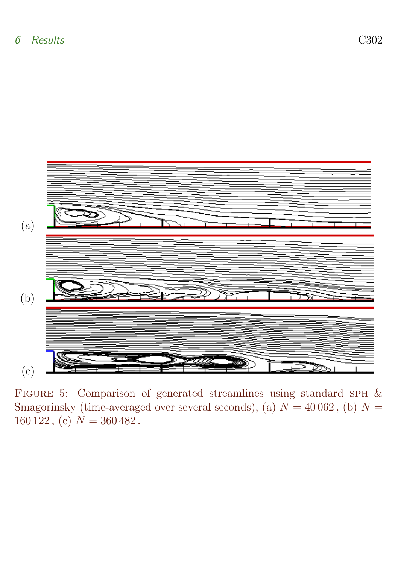

<span id="page-10-0"></span>FIGURE 5: Comparison of generated streamlines using standard SPH & Smagorinsky (time-averaged over several seconds), (a)  $N = 40062$ , (b)  $N =$  $160\,122$ , (c)  $N = 360\,482$ .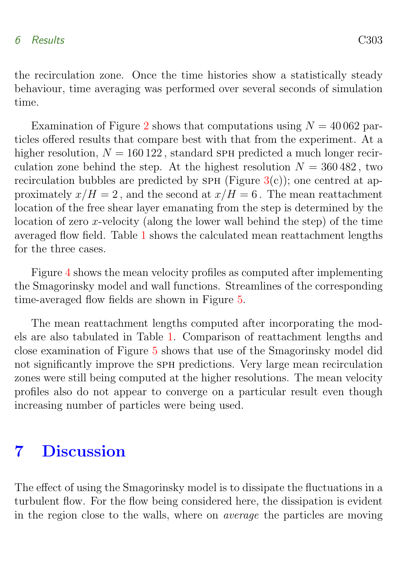#### 6 Results C303

the recirculation zone. Once the time histories show a statistically steady behaviour, time averaging was performed over several seconds of simulation time.

Examination of Figure [2](#page-7-0) shows that computations using  $N = 40062$  particles offered results that compare best with that from the experiment. At a higher resolution,  $N = 160122$ , standard SPH predicted a much longer recirculation zone behind the step. At the highest resolution  $N = 360482$ , two recirculation bubbles are predicted by SPH (Figure  $3(c)$  $3(c)$ ); one centred at approximately  $x/H = 2$ , and the second at  $x/H = 6$ . The mean reattachment location of the free shear layer emanating from the step is determined by the location of zero x-velocity (along the lower wall behind the step) of the time averaged flow field. Table [1](#page-6-1) shows the calculated mean reattachment lengths for the three cases.

Figure [4](#page-9-0) shows the mean velocity profiles as computed after implementing the Smagorinsky model and wall functions. Streamlines of the corresponding time-averaged flow fields are shown in Figure [5.](#page-10-0)

The mean reattachment lengths computed after incorporating the models are also tabulated in Table [1.](#page-6-1) Comparison of reattachment lengths and close examination of Figure [5](#page-10-0) shows that use of the Smagorinsky model did not significantly improve the sph predictions. Very large mean recirculation zones were still being computed at the higher resolutions. The mean velocity profiles also do not appear to converge on a particular result even though increasing number of particles were being used.

# <span id="page-11-0"></span>7 Discussion

The effect of using the Smagorinsky model is to dissipate the fluctuations in a turbulent flow. For the flow being considered here, the dissipation is evident in the region close to the walls, where on average the particles are moving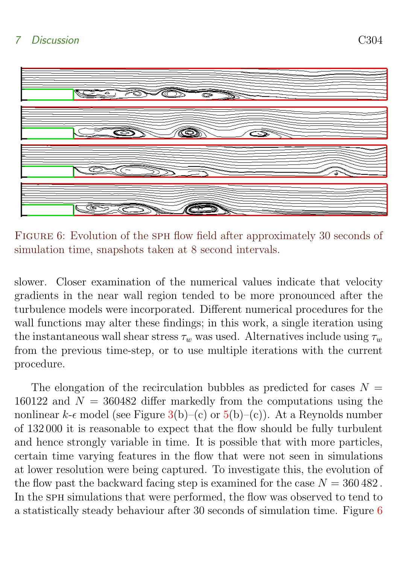

<span id="page-12-0"></span>FIGURE 6: Evolution of the SPH flow field after approximately 30 seconds of simulation time, snapshots taken at 8 second intervals.

slower. Closer examination of the numerical values indicate that velocity gradients in the near wall region tended to be more pronounced after the turbulence models were incorporated. Different numerical procedures for the wall functions may alter these findings; in this work, a single iteration using the instantaneous wall shear stress  $\tau_w$  was used. Alternatives include using  $\tau_w$ from the previous time-step, or to use multiple iterations with the current procedure.

The elongation of the recirculation bubbles as predicted for cases  $N =$ 160122 and  $N = 360482$  differ markedly from the computations using the nonlinear  $k-\epsilon$  model (see Figure [3\(](#page-8-0)b)–(c) or [5\(](#page-10-0)b)–(c)). At a Reynolds number of 132 000 it is reasonable to expect that the flow should be fully turbulent and hence strongly variable in time. It is possible that with more particles, certain time varying features in the flow that were not seen in simulations at lower resolution were being captured. To investigate this, the evolution of the flow past the backward facing step is examined for the case  $N = 360482$ . In the SPH simulations that were performed, the flow was observed to tend to a statistically steady behaviour after 30 seconds of simulation time. Figure [6](#page-12-0)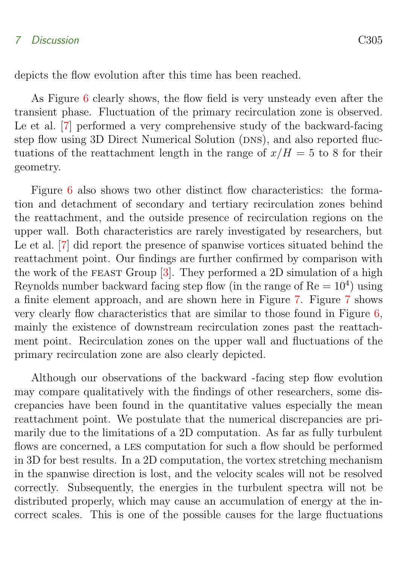#### <span id="page-13-0"></span>7 Discussion C305

depicts the flow evolution after this time has been reached.

As Figure [6](#page-12-0) clearly shows, the flow field is very unsteady even after the transient phase. Fluctuation of the primary recirculation zone is observed. Le et al. [\[7\]](#page-16-7) performed a very comprehensive study of the backward-facing step flow using 3D Direct Numerical Solution (DNS), and also reported fluctuations of the reattachment length in the range of  $x/H = 5$  to 8 for their geometry.

Figure [6](#page-12-0) also shows two other distinct flow characteristics: the formation and detachment of secondary and tertiary recirculation zones behind the reattachment, and the outside presence of recirculation regions on the upper wall. Both characteristics are rarely investigated by researchers, but Le et al. [\[7\]](#page-16-7) did report the presence of spanwise vortices situated behind the reattachment point. Our findings are further confirmed by comparison with the work of the FEAST Group  $[3]$ . They performed a 2D simulation of a high Reynolds number backward facing step flow (in the range of  $Re = 10<sup>4</sup>$ ) using a finite element approach, and are shown here in Figure [7.](#page-14-0) Figure [7](#page-14-0) shows very clearly flow characteristics that are similar to those found in Figure [6,](#page-12-0) mainly the existence of downstream recirculation zones past the reattachment point. Recirculation zones on the upper wall and fluctuations of the primary recirculation zone are also clearly depicted.

Although our observations of the backward -facing step flow evolution may compare qualitatively with the findings of other researchers, some discrepancies have been found in the quantitative values especially the mean reattachment point. We postulate that the numerical discrepancies are primarily due to the limitations of a 2D computation. As far as fully turbulent flows are concerned, a les computation for such a flow should be performed in 3D for best results. In a 2D computation, the vortex stretching mechanism in the spanwise direction is lost, and the velocity scales will not be resolved correctly. Subsequently, the energies in the turbulent spectra will not be distributed properly, which may cause an accumulation of energy at the incorrect scales. This is one of the possible causes for the large fluctuations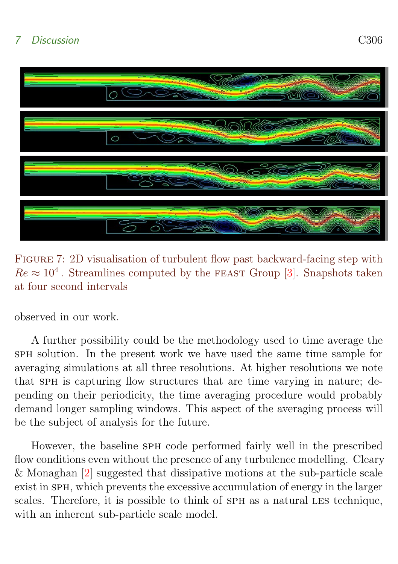<span id="page-14-1"></span>

Figure 7: 2D visualisation of turbulent flow past backward-facing step with  $Re \approx 10^4$ . Streamlines computed by the FEAST Group [\[3\]](#page-16-8). Snapshots taken at four second intervals

<span id="page-14-0"></span>observed in our work.

A further possibility could be the methodology used to time average the sph solution. In the present work we have used the same time sample for averaging simulations at all three resolutions. At higher resolutions we note that sph is capturing flow structures that are time varying in nature; depending on their periodicity, the time averaging procedure would probably demand longer sampling windows. This aspect of the averaging process will be the subject of analysis for the future.

However, the baseline sph code performed fairly well in the prescribed flow conditions even without the presence of any turbulence modelling. Cleary & Monaghan [\[2\]](#page-15-3) suggested that dissipative motions at the sub-particle scale exist in sph, which prevents the excessive accumulation of energy in the larger scales. Therefore, it is possible to think of SPH as a natural LES technique, with an inherent sub-particle scale model.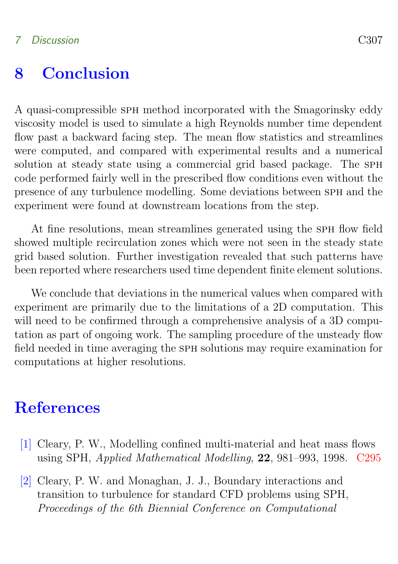# <span id="page-15-1"></span>8 Conclusion

A quasi-compressible sph method incorporated with the Smagorinsky eddy viscosity model is used to simulate a high Reynolds number time dependent flow past a backward facing step. The mean flow statistics and streamlines were computed, and compared with experimental results and a numerical solution at steady state using a commercial grid based package. The SPH code performed fairly well in the prescribed flow conditions even without the presence of any turbulence modelling. Some deviations between sph and the experiment were found at downstream locations from the step.

At fine resolutions, mean streamlines generated using the SPH flow field showed multiple recirculation zones which were not seen in the steady state grid based solution. Further investigation revealed that such patterns have been reported where researchers used time dependent finite element solutions.

We conclude that deviations in the numerical values when compared with experiment are primarily due to the limitations of a 2D computation. This will need to be confirmed through a comprehensive analysis of a 3D computation as part of ongoing work. The sampling procedure of the unsteady flow field needed in time averaging the sph solutions may require examination for computations at higher resolutions.

### **References**

- <span id="page-15-2"></span><span id="page-15-0"></span>[1] Cleary, P. W., Modelling confined multi-material and heat mass flows using SPH, Applied Mathematical Modelling, 22, 981–993, 1998. [C295](#page-3-1)
- <span id="page-15-3"></span>[2] Cleary, P. W. and Monaghan, J. J., Boundary interactions and transition to turbulence for standard CFD problems using SPH, Proceedings of the 6th Biennial Conference on Computational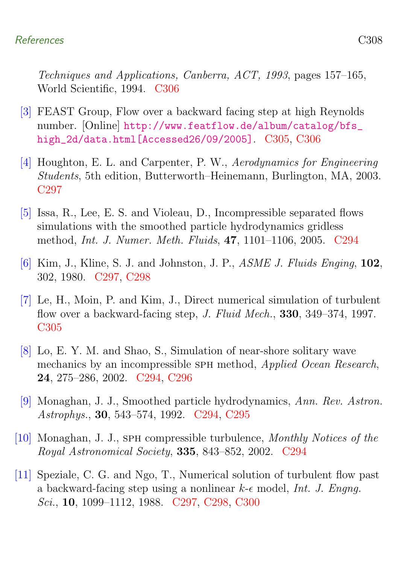#### References C308

Techniques and Applications, Canberra, ACT, 1993, pages 157–165, World Scientific, 1994. [C306](#page-14-1)

- <span id="page-16-8"></span>[3] FEAST Group, Flow over a backward facing step at high Reynolds number. [Online] [http://www.featflow.de/album/catalog/bfs\\_](http://www.featflow.de/album/catalog/bfs_high_2d/data.html [Accessed 26/09/2005]) [high\\_2d/data.html\[Accessed26/09/2005\]](http://www.featflow.de/album/catalog/bfs_high_2d/data.html [Accessed 26/09/2005]). [C305,](#page-13-0) [C306](#page-14-1)
- <span id="page-16-4"></span>[4] Houghton, E. L. and Carpenter, P. W., Aerodynamics for Engineering Students, 5th edition, Butterworth–Heinemann, Burlington, MA, 2003. [C297](#page-5-3)
- <span id="page-16-1"></span>[5] Issa, R., Lee, E. S. and Violeau, D., Incompressible separated flows simulations with the smoothed particle hydrodynamics gridless method, Int. J. Numer. Meth. Fluids, 47, 1101–1106, 2005. [C294](#page-2-1)
- <span id="page-16-6"></span>[6] Kim, J., Kline, S. J. and Johnston, J. P., ASME J. Fluids Enging, 102, 302, 1980. [C297,](#page-5-3) [C298](#page-6-2)
- <span id="page-16-7"></span>[7] Le, H., Moin, P. and Kim, J., Direct numerical simulation of turbulent flow over a backward-facing step, *J. Fluid Mech.*, **330**, 349–374, 1997. [C305](#page-13-0)
- <span id="page-16-2"></span>[8] Lo, E. Y. M. and Shao, S., Simulation of near-shore solitary wave mechanics by an incompressible SPH method, *Applied Ocean Research*, 24, 275–286, 2002. [C294,](#page-2-1) [C296](#page-4-2)
- <span id="page-16-3"></span>[9] Monaghan, J. J., Smoothed particle hydrodynamics, Ann. Rev. Astron. Astrophys., 30, 543–574, 1992. [C294,](#page-2-1) [C295](#page-3-1)
- <span id="page-16-0"></span>[10] Monaghan, J. J., sph compressible turbulence, Monthly Notices of the Royal Astronomical Society, 335, 843–852, 2002. [C294](#page-2-1)
- <span id="page-16-5"></span>[11] Speziale, C. G. and Ngo, T., Numerical solution of turbulent flow past a backward-facing step using a nonlinear  $k$ - $\epsilon$  model, Int. J. Engng. Sci., **10**, 1099–1112, 1988. [C297,](#page-5-3) [C298,](#page-6-2) [C300](#page-8-1)